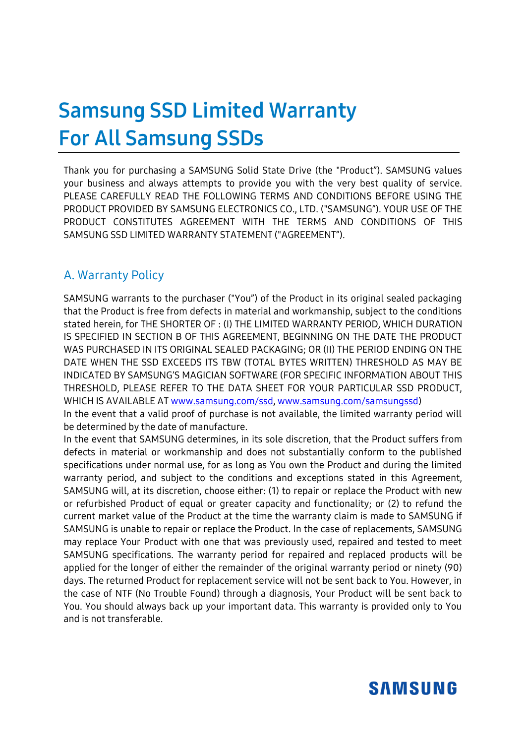# **Samsung SSD Limited Warranty For All Samsung SSDs**

Thank you for purchasing a SAMSUNG Solid State Drive (the "Product"). SAMSUNG values your business and always attempts to provide you with the very best quality of service. PLEASE CAREFULLY READ THE FOLLOWING TERMS AND CONDITIONS BEFORE USING THE PRODUCT PROVIDED BY SAMSUNG ELECTRONICS CO., LTD. ("SAMSUNG"). YOUR USE OF THE PRODUCT CONSTITUTES AGREEMENT WITH THE TERMS AND CONDITIONS OF THIS SAMSUNG SSD LIMITED WARRANTY STATEMENT ("AGREEMENT").

#### A. Warranty Policy

SAMSUNG warrants to the purchaser ("You") of the Product in its original sealed packaging that the Product is free from defects in material and workmanship, subject to the conditions stated herein, for THE SHORTER OF : (I) THE LIMITED WARRANTY PERIOD, WHICH DURATION IS SPECIFIED IN SECTION B OF THIS AGREEMENT, BEGINNING ON THE DATE THE PRODUCT WAS PURCHASED IN ITS ORIGINAL SEALED PACKAGING; OR (II) THE PERIOD ENDING ON THE DATE WHEN THE SSD EXCEEDS ITS TBW (TOTAL BYTES WRITTEN) THRESHOLD AS MAY BE INDICATED BY SAMSUNG'S MAGICIAN SOFTWARE (FOR SPECIFIC INFORMATION ABOUT THIS THRESHOLD, PLEASE REFER TO THE DATA SHEET FOR YOUR PARTICULAR SSD PRODUCT, WHICH IS AVAILABLE A[T www.samsung.com/ssd,](http://www.samsung.com/ssd) [www.samsung.com/samsungssd\)](http://www.samsung.com/samsungssd)

In the event that a valid proof of purchase is not available, the limited warranty period will be determined by the date of manufacture.

In the event that SAMSUNG determines, in its sole discretion, that the Product suffers from defects in material or workmanship and does not substantially conform to the published specifications under normal use, for as long as You own the Product and during the limited warranty period, and subject to the conditions and exceptions stated in this Agreement, SAMSUNG will, at its discretion, choose either: (1) to repair or replace the Product with new or refurbished Product of equal or greater capacity and functionality; or (2) to refund the current market value of the Product at the time the warranty claim is made to SAMSUNG if SAMSUNG is unable to repair or replace the Product. In the case of replacements, SAMSUNG may replace Your Product with one that was previously used, repaired and tested to meet SAMSUNG specifications. The warranty period for repaired and replaced products will be applied for the longer of either the remainder of the original warranty period or ninety (90) days. The returned Product for replacement service will not be sent back to You. However, in the case of NTF (No Trouble Found) through a diagnosis, Your Product will be sent back to You. You should always back up your important data. This warranty is provided only to You and is not transferable.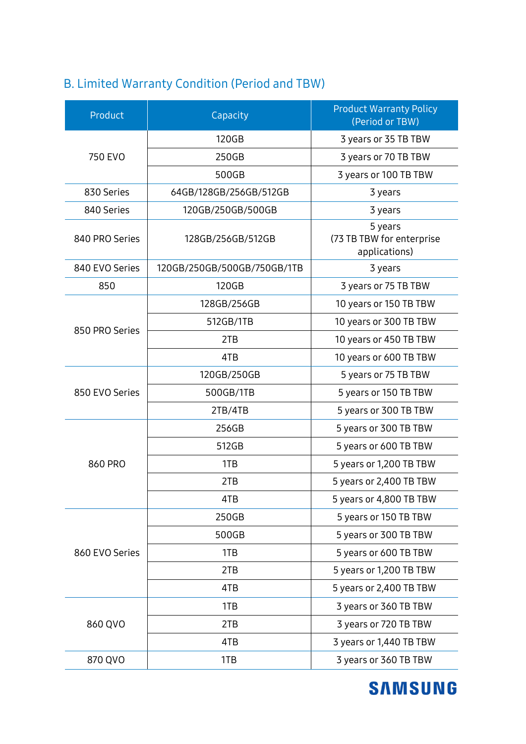#### B. Limited Warranty Condition (Period and TBW)

| Product        | Capacity                    | <b>Product Warranty Policy</b><br>(Period or TBW)     |
|----------------|-----------------------------|-------------------------------------------------------|
| 750 EVO        | 120GB                       | 3 years or 35 TB TBW                                  |
|                | 250GB                       | 3 years or 70 TB TBW                                  |
|                | 500GB                       | 3 years or 100 TB TBW                                 |
| 830 Series     | 64GB/128GB/256GB/512GB      | 3 years                                               |
| 840 Series     | 120GB/250GB/500GB           | 3 years                                               |
| 840 PRO Series | 128GB/256GB/512GB           | 5 years<br>(73 TB TBW for enterprise<br>applications) |
| 840 EVO Series | 120GB/250GB/500GB/750GB/1TB | 3 years                                               |
| 850            | 120GB                       | 3 years or 75 TB TBW                                  |
| 850 PRO Series | 128GB/256GB                 | 10 years or 150 TB TBW                                |
|                | 512GB/1TB                   | 10 years or 300 TB TBW                                |
|                | 2TB                         | 10 years or 450 TB TBW                                |
|                | 4TB                         | 10 years or 600 TB TBW                                |
| 850 EVO Series | 120GB/250GB                 | 5 years or 75 TB TBW                                  |
|                | 500GB/1TB                   | 5 years or 150 TB TBW                                 |
|                | 2TB/4TB                     | 5 years or 300 TB TBW                                 |
| 860 PRO        | 256GB                       | 5 years or 300 TB TBW                                 |
|                | 512GB                       | 5 years or 600 TB TBW                                 |
|                | 1TB                         | 5 years or 1,200 TB TBW                               |
|                | 2TB                         | 5 years or 2,400 TB TBW                               |
|                | 4TB                         | 5 years or 4,800 TB TBW                               |
| 860 EVO Series | 250GB                       | 5 years or 150 TB TBW                                 |
|                | 500GB                       | 5 years or 300 TB TBW                                 |
|                | 1TB                         | 5 years or 600 TB TBW                                 |
|                | 2TB                         | 5 years or 1,200 TB TBW                               |
|                | 4TB                         | 5 years or 2,400 TB TBW                               |
| 860 QVO        | 1TB                         | 3 years or 360 TB TBW                                 |
|                | 2TB                         | 3 years or 720 TB TBW                                 |
|                | 4TB                         | 3 years or 1,440 TB TBW                               |
| 870 QVO        | 1TB                         | 3 years or 360 TB TBW                                 |

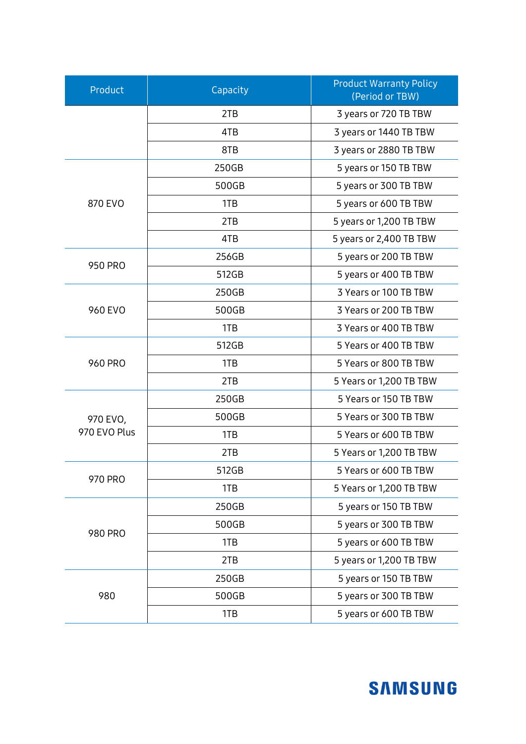| Product                  | Capacity | <b>Product Warranty Policy</b><br>(Period or TBW) |
|--------------------------|----------|---------------------------------------------------|
|                          | 2TB      | 3 years or 720 TB TBW                             |
|                          | 4TB      | 3 years or 1440 TB TBW                            |
|                          | 8TB      | 3 years or 2880 TB TBW                            |
| 870 EVO                  | 250GB    | 5 years or 150 TB TBW                             |
|                          | 500GB    | 5 years or 300 TB TBW                             |
|                          | 1TB      | 5 years or 600 TB TBW                             |
|                          | 2TB      | 5 years or 1,200 TB TBW                           |
|                          | 4TB      | 5 years or 2,400 TB TBW                           |
| <b>950 PRO</b>           | 256GB    | 5 years or 200 TB TBW                             |
|                          | 512GB    | 5 years or 400 TB TBW                             |
| 960 EVO                  | 250GB    | 3 Years or 100 TB TBW                             |
|                          | 500GB    | 3 Years or 200 TB TBW                             |
|                          | 1TB      | 3 Years or 400 TB TBW                             |
| <b>960 PRO</b>           | 512GB    | 5 Years or 400 TB TBW                             |
|                          | 1TB      | 5 Years or 800 TB TBW                             |
|                          | 2TB      | 5 Years or 1,200 TB TBW                           |
|                          | 250GB    | 5 Years or 150 TB TBW                             |
| 970 EVO,<br>970 EVO Plus | 500GB    | 5 Years or 300 TB TBW                             |
|                          | 1TB      | 5 Years or 600 TB TBW                             |
|                          | 2TB      | 5 Years or 1,200 TB TBW                           |
| 970 PRO                  | 512GB    | 5 Years or 600 TB TBW                             |
|                          | 1TB      | 5 Years or 1,200 TB TBW                           |
| 980 PRO                  | 250GB    | 5 years or 150 TB TBW                             |
|                          | 500GB    | 5 years or 300 TB TBW                             |
|                          | 1TB      | 5 years or 600 TB TBW                             |
|                          | 2TB      | 5 years or 1,200 TB TBW                           |
| 980                      | 250GB    | 5 years or 150 TB TBW                             |
|                          | 500GB    | 5 years or 300 TB TBW                             |
|                          | 1TB      | 5 years or 600 TB TBW                             |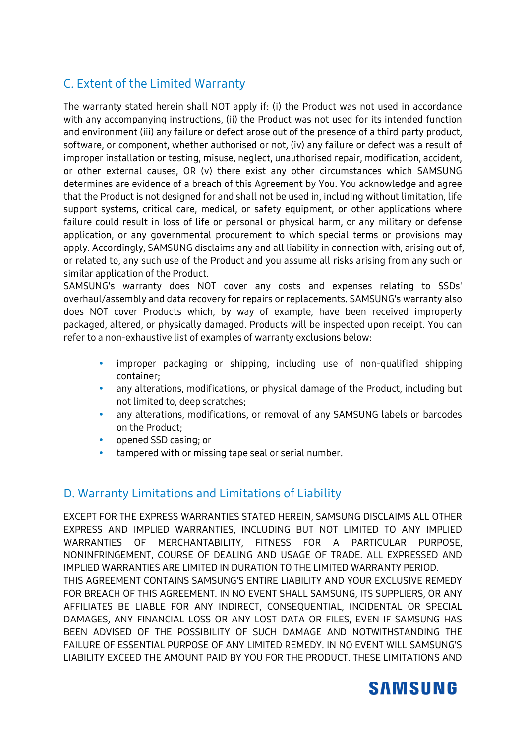#### C. Extent of the Limited Warranty

The warranty stated herein shall NOT apply if: (i) the Product was not used in accordance with any accompanying instructions, (ii) the Product was not used for its intended function and environment (iii) any failure or defect arose out of the presence of a third party product, software, or component, whether authorised or not, (iv) any failure or defect was a result of improper installation or testing, misuse, neglect, unauthorised repair, modification, accident, or other external causes, OR (v) there exist any other circumstances which SAMSUNG determines are evidence of a breach of this Agreement by You. You acknowledge and agree that the Product is not designed for and shall not be used in, including without limitation, life support systems, critical care, medical, or safety equipment, or other applications where failure could result in loss of life or personal or physical harm, or any military or defense application, or any governmental procurement to which special terms or provisions may apply. Accordingly, SAMSUNG disclaims any and all liability in connection with, arising out of, or related to, any such use of the Product and you assume all risks arising from any such or similar application of the Product.

SAMSUNG's warranty does NOT cover any costs and expenses relating to SSDs' overhaul/assembly and data recovery for repairs or replacements. SAMSUNG's warranty also does NOT cover Products which, by way of example, have been received improperly packaged, altered, or physically damaged. Products will be inspected upon receipt. You can refer to a non-exhaustive list of examples of warranty exclusions below:

- improper packaging or shipping, including use of non-qualified shipping container;
- any alterations, modifications, or physical damage of the Product, including but not limited to, deep scratches;
- any alterations, modifications, or removal of any SAMSUNG labels or barcodes on the Product;
- opened SSD casing; or
- tampered with or missing tape seal or serial number.

#### D. Warranty Limitations and Limitations of Liability

EXCEPT FOR THE EXPRESS WARRANTIES STATED HEREIN, SAMSUNG DISCLAIMS ALL OTHER EXPRESS AND IMPLIED WARRANTIES, INCLUDING BUT NOT LIMITED TO ANY IMPLIED WARRANTIES OF MERCHANTABILITY, FITNESS FOR A PARTICULAR PURPOSE, NONINFRINGEMENT, COURSE OF DEALING AND USAGE OF TRADE. ALL EXPRESSED AND IMPLIED WARRANTIES ARE LIMITED IN DURATION TO THE LIMITED WARRANTY PERIOD. THIS AGREEMENT CONTAINS SAMSUNG'S ENTIRE LIABILITY AND YOUR EXCLUSIVE REMEDY FOR BREACH OF THIS AGREEMENT. IN NO EVENT SHALL SAMSUNG, ITS SUPPLIERS, OR ANY AFFILIATES BE LIABLE FOR ANY INDIRECT, CONSEQUENTIAL, INCIDENTAL OR SPECIAL DAMAGES, ANY FINANCIAL LOSS OR ANY LOST DATA OR FILES, EVEN IF SAMSUNG HAS BEEN ADVISED OF THE POSSIBILITY OF SUCH DAMAGE AND NOTWITHSTANDING THE FAILURE OF ESSENTIAL PURPOSE OF ANY LIMITED REMEDY. IN NO EVENT WILL SAMSUNG'S LIABILITY EXCEED THE AMOUNT PAID BY YOU FOR THE PRODUCT. THESE LIMITATIONS AND